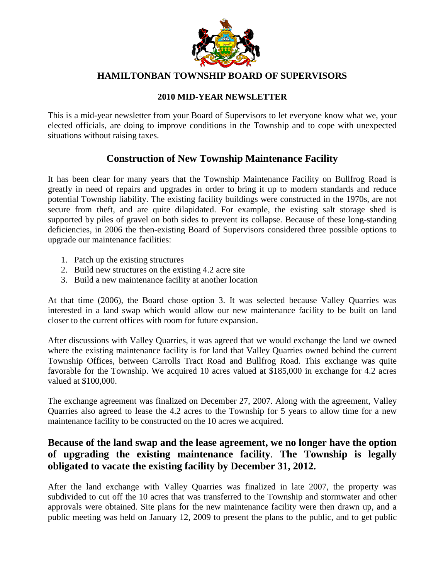

#### **HAMILTONBAN TOWNSHIP BOARD OF SUPERVISORS**

#### **2010 MID-YEAR NEWSLETTER**

This is a mid-year newsletter from your Board of Supervisors to let everyone know what we, your elected officials, are doing to improve conditions in the Township and to cope with unexpected situations without raising taxes.

### **Construction of New Township Maintenance Facility**

It has been clear for many years that the Township Maintenance Facility on Bullfrog Road is greatly in need of repairs and upgrades in order to bring it up to modern standards and reduce potential Township liability. The existing facility buildings were constructed in the 1970s, are not secure from theft, and are quite dilapidated. For example, the existing salt storage shed is supported by piles of gravel on both sides to prevent its collapse. Because of these long-standing deficiencies, in 2006 the then-existing Board of Supervisors considered three possible options to upgrade our maintenance facilities:

- 1. Patch up the existing structures
- 2. Build new structures on the existing 4.2 acre site
- 3. Build a new maintenance facility at another location

At that time (2006), the Board chose option 3. It was selected because Valley Quarries was interested in a land swap which would allow our new maintenance facility to be built on land closer to the current offices with room for future expansion.

After discussions with Valley Quarries, it was agreed that we would exchange the land we owned where the existing maintenance facility is for land that Valley Quarries owned behind the current Township Offices, between Carrolls Tract Road and Bullfrog Road. This exchange was quite favorable for the Township. We acquired 10 acres valued at \$185,000 in exchange for 4.2 acres valued at \$100,000.

The exchange agreement was finalized on December 27, 2007. Along with the agreement, Valley Quarries also agreed to lease the 4.2 acres to the Township for 5 years to allow time for a new maintenance facility to be constructed on the 10 acres we acquired.

### **Because of the land swap and the lease agreement, we no longer have the option of upgrading the existing maintenance facility**. **The Township is legally obligated to vacate the existing facility by December 31, 2012.**

After the land exchange with Valley Quarries was finalized in late 2007, the property was subdivided to cut off the 10 acres that was transferred to the Township and stormwater and other approvals were obtained. Site plans for the new maintenance facility were then drawn up, and a public meeting was held on January 12, 2009 to present the plans to the public, and to get public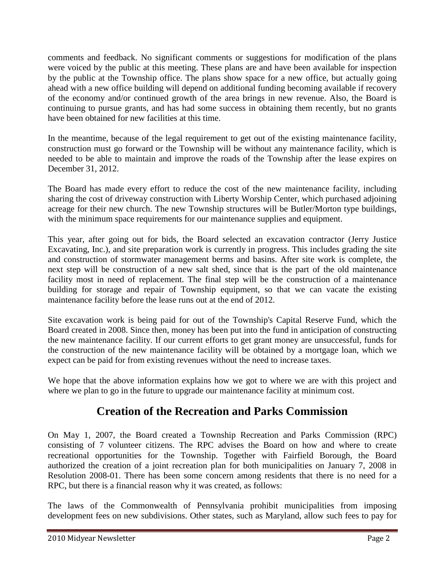comments and feedback. No significant comments or suggestions for modification of the plans were voiced by the public at this meeting. These plans are and have been available for inspection by the public at the Township office. The plans show space for a new office, but actually going ahead with a new office building will depend on additional funding becoming available if recovery of the economy and/or continued growth of the area brings in new revenue. Also, the Board is continuing to pursue grants, and has had some success in obtaining them recently, but no grants have been obtained for new facilities at this time.

In the meantime, because of the legal requirement to get out of the existing maintenance facility, construction must go forward or the Township will be without any maintenance facility, which is needed to be able to maintain and improve the roads of the Township after the lease expires on December 31, 2012.

The Board has made every effort to reduce the cost of the new maintenance facility, including sharing the cost of driveway construction with Liberty Worship Center, which purchased adjoining acreage for their new church. The new Township structures will be Butler/Morton type buildings, with the minimum space requirements for our maintenance supplies and equipment.

This year, after going out for bids, the Board selected an excavation contractor (Jerry Justice Excavating, Inc.), and site preparation work is currently in progress. This includes grading the site and construction of stormwater management berms and basins. After site work is complete, the next step will be construction of a new salt shed, since that is the part of the old maintenance facility most in need of replacement. The final step will be the construction of a maintenance building for storage and repair of Township equipment, so that we can vacate the existing maintenance facility before the lease runs out at the end of 2012.

Site excavation work is being paid for out of the Township's Capital Reserve Fund, which the Board created in 2008. Since then, money has been put into the fund in anticipation of constructing the new maintenance facility. If our current efforts to get grant money are unsuccessful, funds for the construction of the new maintenance facility will be obtained by a mortgage loan, which we expect can be paid for from existing revenues without the need to increase taxes.

We hope that the above information explains how we got to where we are with this project and where we plan to go in the future to upgrade our maintenance facility at minimum cost.

## **Creation of the Recreation and Parks Commission**

On May 1, 2007, the Board created a Township Recreation and Parks Commission (RPC) consisting of 7 volunteer citizens. The RPC advises the Board on how and where to create recreational opportunities for the Township. Together with Fairfield Borough, the Board authorized the creation of a joint recreation plan for both municipalities on January 7, 2008 in Resolution 2008-01. There has been some concern among residents that there is no need for a RPC, but there is a financial reason why it was created, as follows:

The laws of the Commonwealth of Pennsylvania prohibit municipalities from imposing development fees on new subdivisions. Other states, such as Maryland, allow such fees to pay for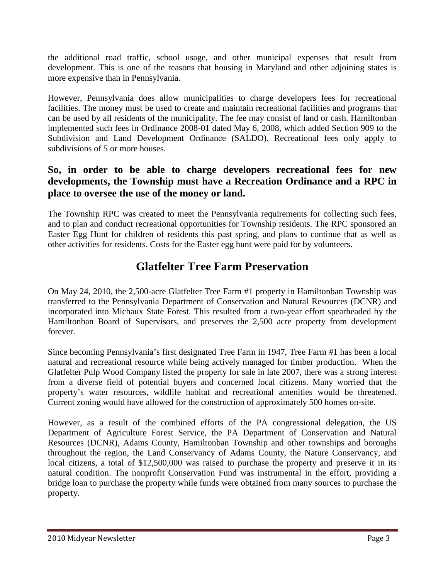the additional road traffic, school usage, and other municipal expenses that result from development. This is one of the reasons that housing in Maryland and other adjoining states is more expensive than in Pennsylvania.

However, Pennsylvania does allow municipalities to charge developers fees for recreational facilities. The money must be used to create and maintain recreational facilities and programs that can be used by all residents of the municipality. The fee may consist of land or cash. Hamiltonban implemented such fees in Ordinance 2008-01 dated May 6, 2008, which added Section 909 to the Subdivision and Land Development Ordinance (SALDO). Recreational fees only apply to subdivisions of 5 or more houses.

### **So, in order to be able to charge developers recreational fees for new developments, the Township must have a Recreation Ordinance and a RPC in place to oversee the use of the money or land.**

The Township RPC was created to meet the Pennsylvania requirements for collecting such fees, and to plan and conduct recreational opportunities for Township residents. The RPC sponsored an Easter Egg Hunt for children of residents this past spring, and plans to continue that as well as other activities for residents. Costs for the Easter egg hunt were paid for by volunteers.

# **Glatfelter Tree Farm Preservation**

On May 24, 2010, the 2,500-acre Glatfelter Tree Farm #1 property in Hamiltonban Township was transferred to the Pennsylvania Department of Conservation and Natural Resources (DCNR) and incorporated into Michaux State Forest. This resulted from a two-year effort spearheaded by the Hamiltonban Board of Supervisors, and preserves the 2,500 acre property from development forever.

Since becoming Pennsylvania's first designated Tree Farm in 1947, Tree Farm #1 has been a local natural and recreational resource while being actively managed for timber production. When the Glatfelter Pulp Wood Company listed the property for sale in late 2007, there was a strong interest from a diverse field of potential buyers and concerned local citizens. Many worried that the property's water resources, wildlife habitat and recreational amenities would be threatened. Current zoning would have allowed for the construction of approximately 500 homes on-site.

However, as a result of the combined efforts of the PA congressional delegation, the US Department of Agriculture Forest Service, the PA Department of Conservation and Natural Resources (DCNR), Adams County, Hamiltonban Township and other townships and boroughs throughout the region, the Land Conservancy of Adams County, the Nature Conservancy, and local citizens, a total of \$12,500,000 was raised to purchase the property and preserve it in its natural condition. The nonprofit Conservation Fund was instrumental in the effort, providing a bridge loan to purchase the property while funds were obtained from many sources to purchase the property.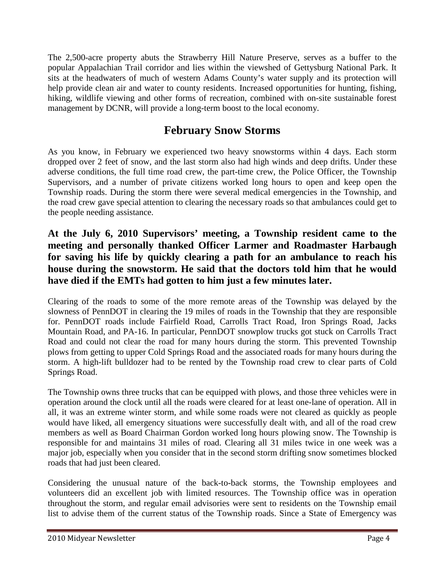The 2,500-acre property abuts the Strawberry Hill Nature Preserve, serves as a buffer to the popular Appalachian Trail corridor and lies within the viewshed of Gettysburg National Park. It sits at the headwaters of much of western Adams County's water supply and its protection will help provide clean air and water to county residents. Increased opportunities for hunting, fishing, hiking, wildlife viewing and other forms of recreation, combined with on-site sustainable forest management by DCNR, will provide a long-term boost to the local economy.

## **February Snow Storms**

As you know, in February we experienced two heavy snowstorms within 4 days. Each storm dropped over 2 feet of snow, and the last storm also had high winds and deep drifts. Under these adverse conditions, the full time road crew, the part-time crew, the Police Officer, the Township Supervisors, and a number of private citizens worked long hours to open and keep open the Township roads. During the storm there were several medical emergencies in the Township, and the road crew gave special attention to clearing the necessary roads so that ambulances could get to the people needing assistance.

### **At the July 6, 2010 Supervisors' meeting, a Township resident came to the meeting and personally thanked Officer Larmer and Roadmaster Harbaugh for saving his life by quickly clearing a path for an ambulance to reach his house during the snowstorm. He said that the doctors told him that he would have died if the EMTs had gotten to him just a few minutes later.**

Clearing of the roads to some of the more remote areas of the Township was delayed by the slowness of PennDOT in clearing the 19 miles of roads in the Township that they are responsible for. PennDOT roads include Fairfield Road, Carrolls Tract Road, Iron Springs Road, Jacks Mountain Road, and PA-16. In particular, PennDOT snowplow trucks got stuck on Carrolls Tract Road and could not clear the road for many hours during the storm. This prevented Township plows from getting to upper Cold Springs Road and the associated roads for many hours during the storm. A high-lift bulldozer had to be rented by the Township road crew to clear parts of Cold Springs Road.

The Township owns three trucks that can be equipped with plows, and those three vehicles were in operation around the clock until all the roads were cleared for at least one-lane of operation. All in all, it was an extreme winter storm, and while some roads were not cleared as quickly as people would have liked, all emergency situations were successfully dealt with, and all of the road crew members as well as Board Chairman Gordon worked long hours plowing snow. The Township is responsible for and maintains 31 miles of road. Clearing all 31 miles twice in one week was a major job, especially when you consider that in the second storm drifting snow sometimes blocked roads that had just been cleared.

Considering the unusual nature of the back-to-back storms, the Township employees and volunteers did an excellent job with limited resources. The Township office was in operation throughout the storm, and regular email advisories were sent to residents on the Township email list to advise them of the current status of the Township roads. Since a State of Emergency was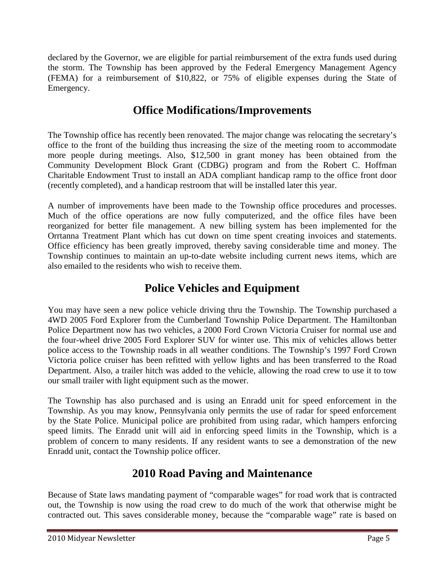declared by the Governor, we are eligible for partial reimbursement of the extra funds used during the storm. The Township has been approved by the Federal Emergency Management Agency (FEMA) for a reimbursement of \$10,822, or 75% of eligible expenses during the State of Emergency.

# **Office Modifications/Improvements**

The Township office has recently been renovated. The major change was relocating the secretary's office to the front of the building thus increasing the size of the meeting room to accommodate more people during meetings. Also, \$12,500 in grant money has been obtained from the Community Development Block Grant (CDBG) program and from the Robert C. Hoffman Charitable Endowment Trust to install an ADA compliant handicap ramp to the office front door (recently completed), and a handicap restroom that will be installed later this year.

A number of improvements have been made to the Township office procedures and processes. Much of the office operations are now fully computerized, and the office files have been reorganized for better file management. A new billing system has been implemented for the Orrtanna Treatment Plant which has cut down on time spent creating invoices and statements. Office efficiency has been greatly improved, thereby saving considerable time and money. The Township continues to maintain an up-to-date website including current news items, which are also emailed to the residents who wish to receive them.

## **Police Vehicles and Equipment**

You may have seen a new police vehicle driving thru the Township. The Township purchased a 4WD 2005 Ford Explorer from the Cumberland Township Police Department. The Hamiltonban Police Department now has two vehicles, a 2000 Ford Crown Victoria Cruiser for normal use and the four-wheel drive 2005 Ford Explorer SUV for winter use. This mix of vehicles allows better police access to the Township roads in all weather conditions. The Township's 1997 Ford Crown Victoria police cruiser has been refitted with yellow lights and has been transferred to the Road Department. Also, a trailer hitch was added to the vehicle, allowing the road crew to use it to tow our small trailer with light equipment such as the mower.

The Township has also purchased and is using an Enradd unit for speed enforcement in the Township. As you may know, Pennsylvania only permits the use of radar for speed enforcement by the State Police. Municipal police are prohibited from using radar, which hampers enforcing speed limits. The Enradd unit will aid in enforcing speed limits in the Township, which is a problem of concern to many residents. If any resident wants to see a demonstration of the new Enradd unit, contact the Township police officer.

## **2010 Road Paving and Maintenance**

Because of State laws mandating payment of "comparable wages" for road work that is contracted out, the Township is now using the road crew to do much of the work that otherwise might be contracted out. This saves considerable money, because the "comparable wage" rate is based on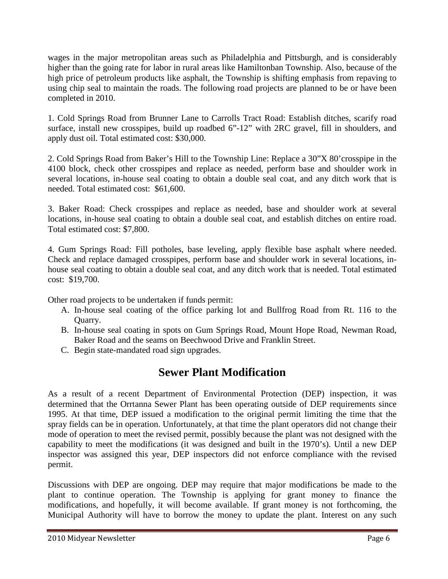wages in the major metropolitan areas such as Philadelphia and Pittsburgh, and is considerably higher than the going rate for labor in rural areas like Hamiltonban Township. Also, because of the high price of petroleum products like asphalt, the Township is shifting emphasis from repaving to using chip seal to maintain the roads. The following road projects are planned to be or have been completed in 2010.

1. Cold Springs Road from Brunner Lane to Carrolls Tract Road: Establish ditches, scarify road surface, install new crosspipes, build up roadbed 6"-12" with 2RC gravel, fill in shoulders, and apply dust oil. Total estimated cost: \$30,000.

2. Cold Springs Road from Baker's Hill to the Township Line: Replace a 30"X 80'crosspipe in the 4100 block, check other crosspipes and replace as needed, perform base and shoulder work in several locations, in-house seal coating to obtain a double seal coat, and any ditch work that is needed. Total estimated cost: \$61,600.

3. Baker Road: Check crosspipes and replace as needed, base and shoulder work at several locations, in-house seal coating to obtain a double seal coat, and establish ditches on entire road. Total estimated cost: \$7,800.

4. Gum Springs Road: Fill potholes, base leveling, apply flexible base asphalt where needed. Check and replace damaged crosspipes, perform base and shoulder work in several locations, inhouse seal coating to obtain a double seal coat, and any ditch work that is needed. Total estimated cost: \$19,700.

Other road projects to be undertaken if funds permit:

- A. In-house seal coating of the office parking lot and Bullfrog Road from Rt. 116 to the Quarry.
- B. In-house seal coating in spots on Gum Springs Road, Mount Hope Road, Newman Road, Baker Road and the seams on Beechwood Drive and Franklin Street.
- C. Begin state-mandated road sign upgrades.

## **Sewer Plant Modification**

As a result of a recent Department of Environmental Protection (DEP) inspection, it was determined that the Orrtanna Sewer Plant has been operating outside of DEP requirements since 1995. At that time, DEP issued a modification to the original permit limiting the time that the spray fields can be in operation. Unfortunately, at that time the plant operators did not change their mode of operation to meet the revised permit, possibly because the plant was not designed with the capability to meet the modifications (it was designed and built in the 1970's). Until a new DEP inspector was assigned this year, DEP inspectors did not enforce compliance with the revised permit.

Discussions with DEP are ongoing. DEP may require that major modifications be made to the plant to continue operation. The Township is applying for grant money to finance the modifications, and hopefully, it will become available. If grant money is not forthcoming, the Municipal Authority will have to borrow the money to update the plant. Interest on any such